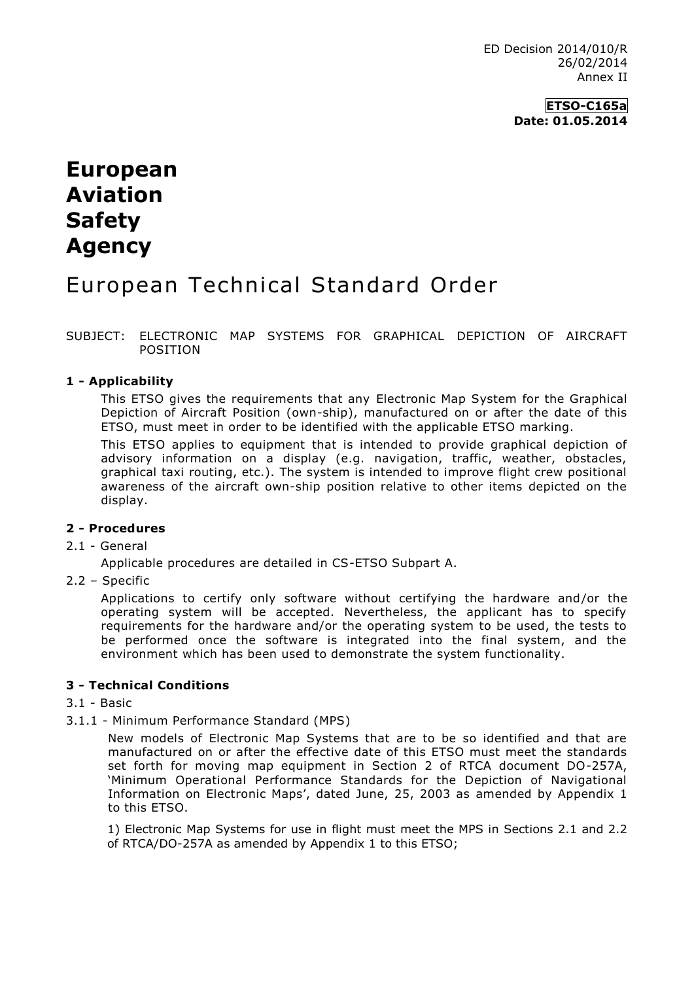# **European Aviation Safety Agency**

## European Technical Standard Order

SUBJECT: ELECTRONIC MAP SYSTEMS FOR GRAPHICAL DEPICTION OF AIRCRAFT POSITION

## **1 - Applicability**

This ETSO gives the requirements that any Electronic Map System for the Graphical Depiction of Aircraft Position (own-ship), manufactured on or after the date of this ETSO, must meet in order to be identified with the applicable ETSO marking.

This ETSO applies to equipment that is intended to provide graphical depiction of advisory information on a display (e.g. navigation, traffic, weather, obstacles, graphical taxi routing, etc.). The system is intended to improve flight crew positional awareness of the aircraft own-ship position relative to other items depicted on the display.

#### **2 - Procedures**

#### 2.1 - General

Applicable procedures are detailed in CS-ETSO Subpart A.

2.2 – Specific

Applications to certify only software without certifying the hardware and/or the operating system will be accepted. Nevertheless, the applicant has to specify requirements for the hardware and/or the operating system to be used, the tests to be performed once the software is integrated into the final system, and the environment which has been used to demonstrate the system functionality.

## **3 - Technical Conditions**

#### 3.1 - Basic

3.1.1 - Minimum Performance Standard (MPS)

New models of Electronic Map Systems that are to be so identified and that are manufactured on or after the effective date of this ETSO must meet the standards set forth for moving map equipment in Section 2 of RTCA document DO-257A, 'Minimum Operational Performance Standards for the Depiction of Navigational Information on Electronic Maps', dated June, 25, 2003 as amended by Appendix 1 to this ETSO.

1) Electronic Map Systems for use in flight must meet the MPS in Sections 2.1 and 2.2 of RTCA/DO-257A as amended by Appendix 1 to this ETSO;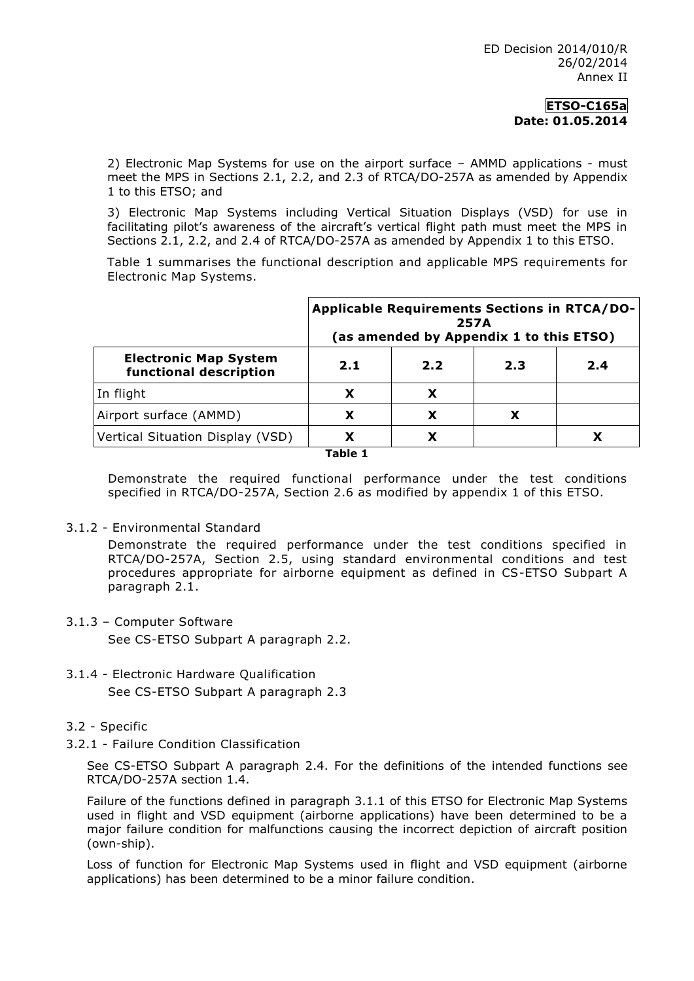2) Electronic Map Systems for use on the airport surface – AMMD applications - must meet the MPS in Sections 2.1, 2.2, and 2.3 of RTCA/DO-257A as amended by Appendix 1 to this ETSO; and

3) Electronic Map Systems including Vertical Situation Displays (VSD) for use in facilitating pilot's awareness of the aircraft's vertical flight path must meet the MPS in Sections 2.1, 2.2, and 2.4 of RTCA/DO-257A as amended by Appendix 1 to this ETSO.

Table 1 summarises the functional description and applicable MPS requirements for Electronic Map Systems.

| <b>Electronic Map System</b><br>functional description | <b>Applicable Requirements Sections in RTCA/DO-</b><br>257A<br>(as amended by Appendix 1 to this ETSO) |     |     |     |
|--------------------------------------------------------|--------------------------------------------------------------------------------------------------------|-----|-----|-----|
|                                                        | 2.1                                                                                                    | 2.2 | 2.3 | 2.4 |
| In flight                                              |                                                                                                        | X   |     |     |
| Airport surface (AMMD)                                 | X                                                                                                      | X   | x   |     |
| Vertical Situation Display (VSD)                       | X                                                                                                      | Х   |     |     |

**Table 1**

Demonstrate the required functional performance under the test conditions specified in RTCA/DO-257A, Section 2.6 as modified by appendix 1 of this ETSO.

## 3.1.2 - Environmental Standard

Demonstrate the required performance under the test conditions specified in RTCA/DO-257A, Section 2.5, using standard environmental conditions and test procedures appropriate for airborne equipment as defined in CS-ETSO Subpart A paragraph 2.1.

3.1.3 – Computer Software

See CS-ETSO Subpart A paragraph 2.2.

- 3.1.4 Electronic Hardware Qualification See CS-ETSO Subpart A paragraph 2.3
- 3.2 Specific
- 3.2.1 Failure Condition Classification

See CS-ETSO Subpart A paragraph 2.4. For the definitions of the intended functions see RTCA/DO-257A section 1.4.

Failure of the functions defined in paragraph 3.1.1 of this ETSO for Electronic Map Systems used in flight and VSD equipment (airborne applications) have been determined to be a major failure condition for malfunctions causing the incorrect depiction of aircraft position (own-ship).

Loss of function for Electronic Map Systems used in flight and VSD equipment (airborne applications) has been determined to be a minor failure condition.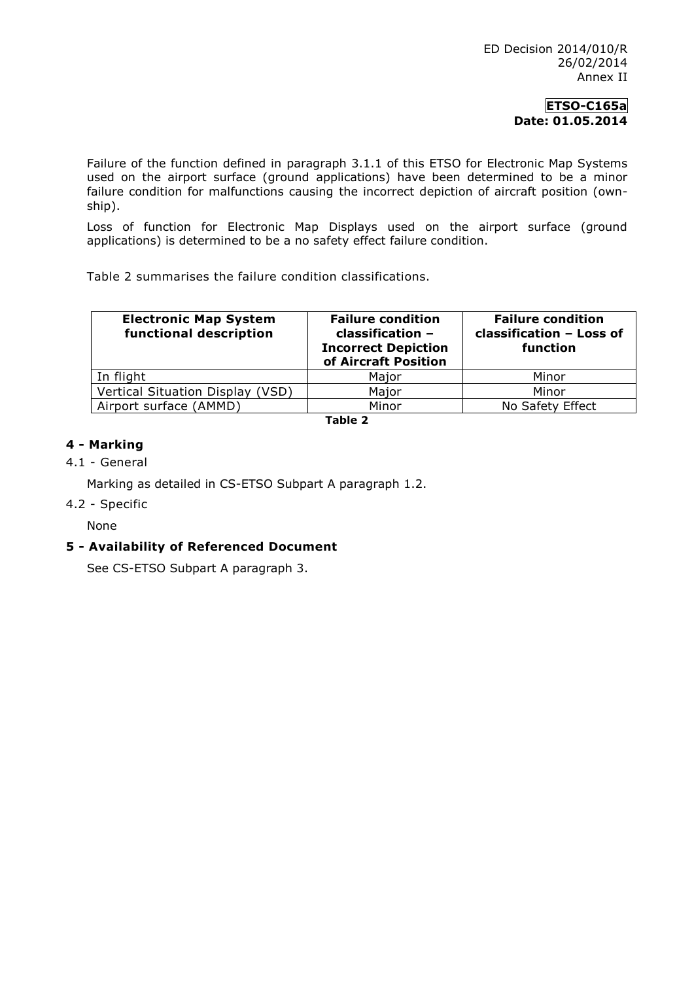Failure of the function defined in paragraph 3.1.1 of this ETSO for Electronic Map Systems used on the airport surface (ground applications) have been determined to be a minor failure condition for malfunctions causing the incorrect depiction of aircraft position (ownship).

Loss of function for Electronic Map Displays used on the airport surface (ground applications) is determined to be a no safety effect failure condition.

Table 2 summarises the failure condition classifications.

| <b>Electronic Map System</b><br>functional description | <b>Failure condition</b><br>classification -<br><b>Incorrect Depiction</b><br>of Aircraft Position | <b>Failure condition</b><br>classification - Loss of<br>function |  |
|--------------------------------------------------------|----------------------------------------------------------------------------------------------------|------------------------------------------------------------------|--|
| In flight                                              | Major                                                                                              | Minor                                                            |  |
| Vertical Situation Display (VSD)                       | Major                                                                                              | Minor                                                            |  |
| Airport surface (AMMD)                                 | Minor                                                                                              | No Safety Effect                                                 |  |

**Table 2**

## **4 - Marking**

## 4.1 - General

Marking as detailed in CS-ETSO Subpart A paragraph 1.2.

## 4.2 - Specific

None

## **5 - Availability of Referenced Document**

See CS-ETSO Subpart A paragraph 3.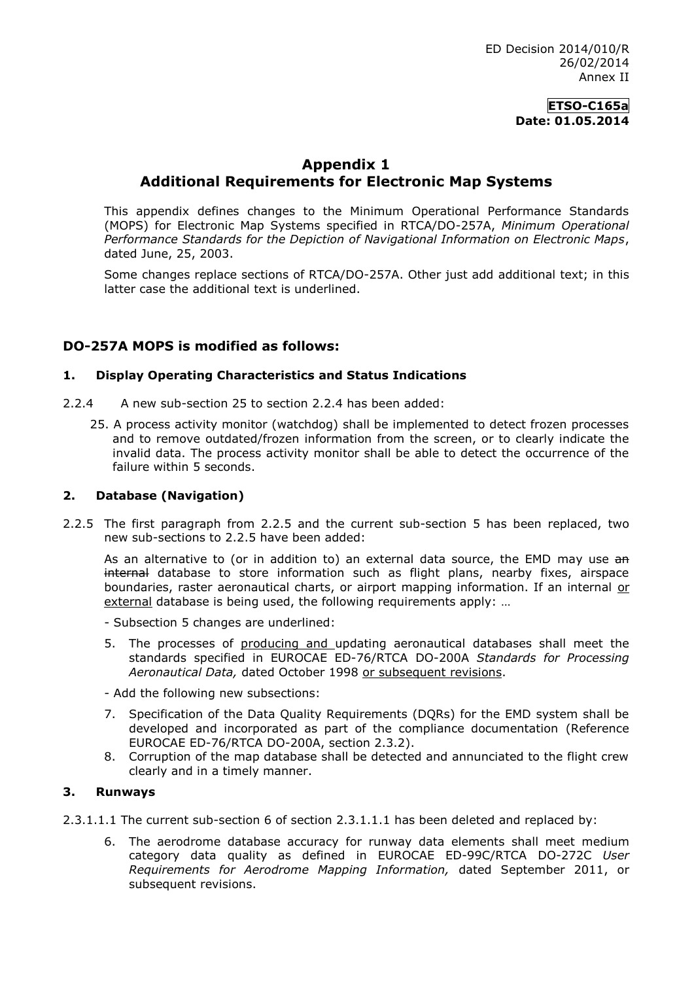## **Appendix 1 Additional Requirements for Electronic Map Systems**

This appendix defines changes to the Minimum Operational Performance Standards (MOPS) for Electronic Map Systems specified in RTCA/DO-257A, *Minimum Operational Performance Standards for the Depiction of Navigational Information on Electronic Maps*, dated June, 25, 2003.

Some changes replace sections of RTCA/DO-257A. Other just add additional text; in this latter case the additional text is underlined.

## **DO-257A MOPS is modified as follows:**

#### **1. Display Operating Characteristics and Status Indications**

- 2.2.4 A new sub-section 25 to section 2.2.4 has been added:
	- 25. A process activity monitor (watchdog) shall be implemented to detect frozen processes and to remove outdated/frozen information from the screen, or to clearly indicate the invalid data. The process activity monitor shall be able to detect the occurrence of the failure within 5 seconds.

#### **2. Database (Navigation)**

2.2.5 The first paragraph from 2.2.5 and the current sub-section 5 has been replaced, two new sub-sections to 2.2.5 have been added:

As an alternative to (or in addition to) an external data source, the EMD may use an internal database to store information such as flight plans, nearby fixes, airspace boundaries, raster aeronautical charts, or airport mapping information. If an internal or external database is being used, the following requirements apply: …

- Subsection 5 changes are underlined:
- 5. The processes of producing and updating aeronautical databases shall meet the standards specified in EUROCAE ED-76/RTCA DO-200A *Standards for Processing Aeronautical Data,* dated October 1998 or subsequent revisions.
- Add the following new subsections:
- 7. Specification of the Data Quality Requirements (DQRs) for the EMD system shall be developed and incorporated as part of the compliance documentation (Reference EUROCAE ED-76/RTCA DO-200A, section 2.3.2).
- 8. Corruption of the map database shall be detected and annunciated to the flight crew clearly and in a timely manner.

#### **3. Runways**

- 2.3.1.1.1 The current sub-section 6 of section 2.3.1.1.1 has been deleted and replaced by:
	- 6. The aerodrome database accuracy for runway data elements shall meet medium category data quality as defined in EUROCAE ED-99C/RTCA DO-272C *User Requirements for Aerodrome Mapping Information,* dated September 2011, or subsequent revisions.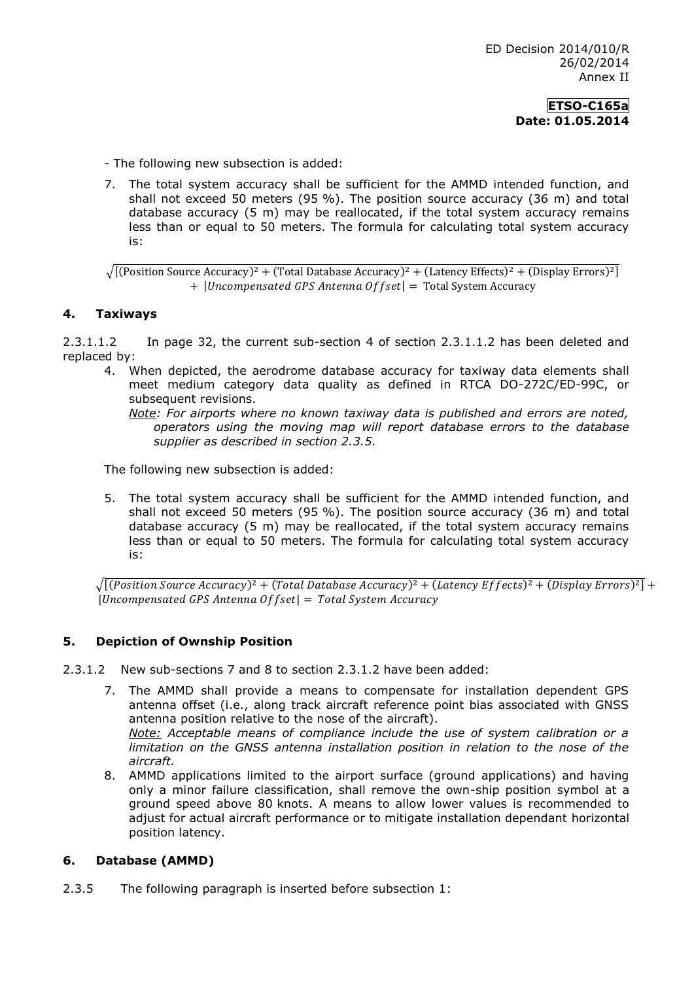- The following new subsection is added:

7. The total system accuracy shall be sufficient for the AMMD intended function, and shall not exceed 50 meters (95 %). The position source accuracy (36 m) and total database accuracy (5 m) may be reallocated, if the total system accuracy remains less than or equal to 50 meters. The formula for calculating total system accuracy is:

 $\sqrt{[($  Position Source Accuracy $)^2 + ($ Total Database Accuracy $)^2 + ($ Latency Effects $)^2 + ($ Display Errors $)^2$ ] + | Uncompensated GPS Antenna Offset | = Total System Accuracy

#### **4. Taxiways**

2.3.1.1.2 In page 32, the current sub-section 4 of section 2.3.1.1.2 has been deleted and replaced by:

4. When depicted, the aerodrome database accuracy for taxiway data elements shall meet medium category data quality as defined in RTCA DO-272C/ED-99C, or subsequent revisions.

*Note: For airports where no known taxiway data is published and errors are noted, operators using the moving map will report database errors to the database supplier as described in section 2.3.5.* 

The following new subsection is added:

5. The total system accuracy shall be sufficient for the AMMD intended function, and shall not exceed 50 meters (95 %). The position source accuracy (36 m) and total database accuracy (5 m) may be reallocated, if the total system accuracy remains less than or equal to 50 meters. The formula for calculating total system accuracy is:

 $\sqrt{[(Position Source Accuracy)^2 + (Total Database Accuracy)^2 + (Latency Effects)^2 + (Display Errors)^2]} +$  $|Uncompensated GPS Antenna Offset| = Total System Accuracy$ 

#### **5. Depiction of Ownship Position**

2.3.1.2 New sub-sections 7 and 8 to section 2.3.1.2 have been added:

- 7. The AMMD shall provide a means to compensate for installation dependent GPS antenna offset (i.e., along track aircraft reference point bias associated with GNSS antenna position relative to the nose of the aircraft). *Note: Acceptable means of compliance include the use of system calibration or a limitation on the GNSS antenna installation position in relation to the nose of the aircraft.*
- 8. AMMD applications limited to the airport surface (ground applications) and having only a minor failure classification, shall remove the own-ship position symbol at a ground speed above 80 knots. A means to allow lower values is recommended to adjust for actual aircraft performance or to mitigate installation dependant horizontal position latency.

#### **6. Database (AMMD)**

2.3.5 The following paragraph is inserted before subsection 1: